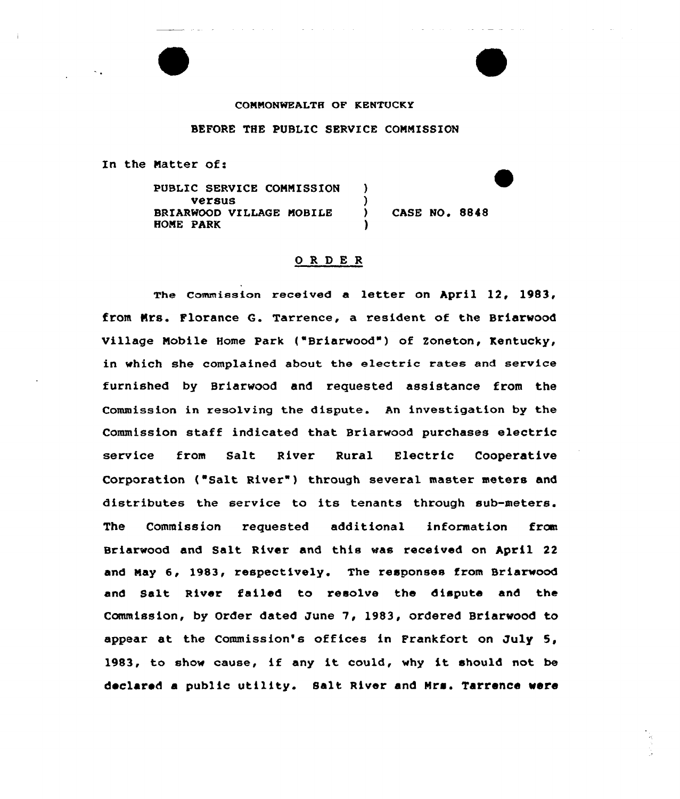## COMMONWEALTH OF KENTUCKY

## BEFORE THE PUBLIC SERVICE CONNISSION

In the Matter of:

PUBLIC SERVICE CONNISSION versus BRIARNOOD VILLAGE NOBILE HONE PARK ) ) ) CASE NO <sup>~</sup> 8848 )

## ORDER

The commission received a letter on April 12, 1983, from Mrs. Florance G. Tarrence, a resident of the Briarwood Village Nobile Home Park {"Briarwood") of 2oneton, Kentucky, in which she complained about the electric rates and service furnished by Briarwood and requested assistance fxom the Commission in xesolving the dispute. An investigation by the Commission staff indicated that Briarwood purchases electric service from Salt River Rural Electric Coope<mark>rati</mark>v Corporation ("Salt River") through several master meters and distributes the service to its tenants through sub-meters. The Commission requested additional information from Briarwood and Salt River and this was received on April 22 and Nay 6, 1983, respectively. The responses from Briarwood and Salt River failed to resolve the dispute and the Commission, by Order dated June 7, 1983, ordered Briarwood to appear at the Commission's offices in Frankfort on July 5, 1983, to show cause, if any it could, why it should not be declared <sup>a</sup> public utility. Salt River and Nrs. Tarrence were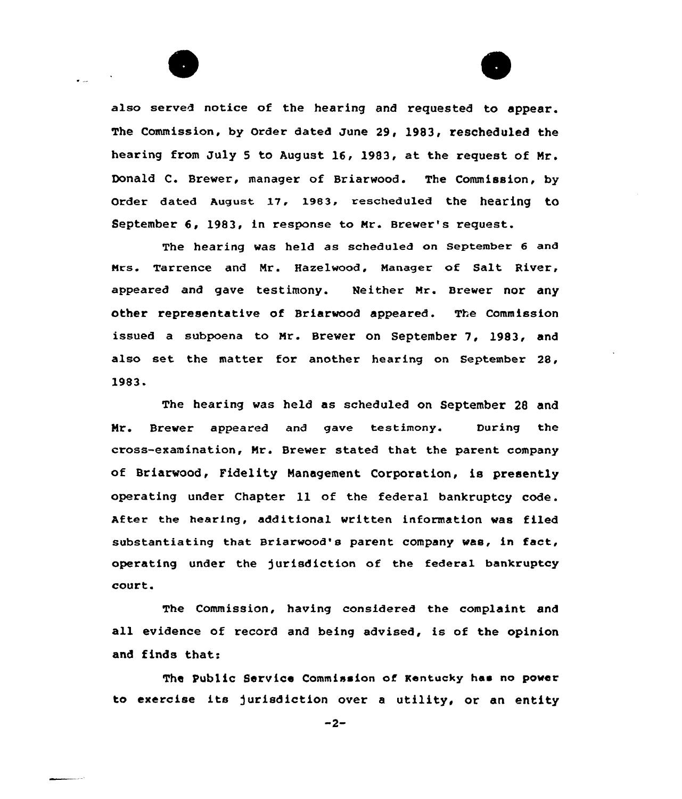

 $\bullet$  as

also served notice of the hearing and requested to appear. The Commission, by Order dated June 29, 1983, rescheduled the hearing from July <sup>5</sup> to August 16, 1983, at the request of Mr. Donald C. Brewer, manager of Briarwood. The Commission, by Order dated August 17, 1983, rescheduled the hearing to September 6, 1983, in response to Mr. Brewer's request.

The hearing was held as scheduled on September 6 and Mrs. Tarrence and Mr. Hazelwood, Manager of Salt. River, appeared and gave testimony. Neither Mr. Brewer nor any other representative of Briarwood appeared. The Commission issued a subpoena to Mr. Brewer on September 7, 1983, and also set the matter for another hearing on September 28, 1983-

The hearing was held as scheduled on September 28 and Nr. Brewer appeared and gave testimony. During the cross-examination, Mr. Brewer stated that the parent company of Briarwood, Fidelity Management Corporation, is presently operating under Chapter ll of the federal bankruptcy code. After the hearing, additional written information was filed substantiating that Briarwood's parent company was, in fact, operating under the )urisdiction of the federal bankruptcy court.

The Commission, having considered the complaint and all evidence of record and being advised, is of the opinion and finds that:

The Public Service Commission of Kentucky has no power to exercise its )urisdiction over <sup>a</sup> utility, or an entity

 $-2-$